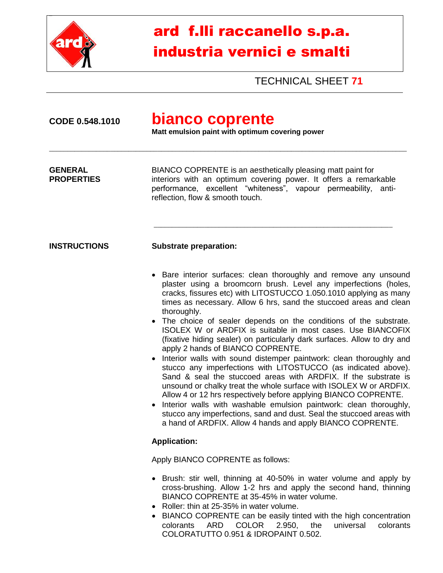

## ard f.lli raccanello s.p.a. industria vernici e smalti

TECHNICAL SHEET **71**

| bianco coprente<br>CODE 0.548.1010<br>Matt emulsion paint with optimum covering power |                                                                                                                                                                                                                                                                                                                                                                                                                                                                                                                                                                                                                                                                                                                                                                                                                                                                                                                                                                                                                                                                                                                           |  |
|---------------------------------------------------------------------------------------|---------------------------------------------------------------------------------------------------------------------------------------------------------------------------------------------------------------------------------------------------------------------------------------------------------------------------------------------------------------------------------------------------------------------------------------------------------------------------------------------------------------------------------------------------------------------------------------------------------------------------------------------------------------------------------------------------------------------------------------------------------------------------------------------------------------------------------------------------------------------------------------------------------------------------------------------------------------------------------------------------------------------------------------------------------------------------------------------------------------------------|--|
| <b>GENERAL</b><br><b>PROPERTIES</b>                                                   | BIANCO COPRENTE is an aesthetically pleasing matt paint for<br>interiors with an optimum covering power. It offers a remarkable<br>performance, excellent "whiteness", vapour permeability,<br>anti-<br>reflection, flow & smooth touch.                                                                                                                                                                                                                                                                                                                                                                                                                                                                                                                                                                                                                                                                                                                                                                                                                                                                                  |  |
| <b>INSTRUCTIONS</b>                                                                   | <b>Substrate preparation:</b>                                                                                                                                                                                                                                                                                                                                                                                                                                                                                                                                                                                                                                                                                                                                                                                                                                                                                                                                                                                                                                                                                             |  |
|                                                                                       | • Bare interior surfaces: clean thoroughly and remove any unsound<br>plaster using a broomcorn brush. Level any imperfections (holes,<br>cracks, fissures etc) with LITOSTUCCO 1.050.1010 applying as many<br>times as necessary. Allow 6 hrs, sand the stuccoed areas and clean<br>thoroughly.<br>• The choice of sealer depends on the conditions of the substrate.<br>ISOLEX W or ARDFIX is suitable in most cases. Use BIANCOFIX<br>(fixative hiding sealer) on particularly dark surfaces. Allow to dry and<br>apply 2 hands of BIANCO COPRENTE.<br>• Interior walls with sound distemper paintwork: clean thoroughly and<br>stucco any imperfections with LITOSTUCCO (as indicated above).<br>Sand & seal the stuccoed areas with ARDFIX. If the substrate is<br>unsound or chalky treat the whole surface with ISOLEX W or ARDFIX.<br>Allow 4 or 12 hrs respectively before applying BIANCO COPRENTE.<br>Interior walls with washable emulsion paintwork: clean thoroughly,<br>stucco any imperfections, sand and dust. Seal the stuccoed areas with<br>a hand of ARDFIX. Allow 4 hands and apply BIANCO COPRENTE. |  |
|                                                                                       | <b>Application:</b>                                                                                                                                                                                                                                                                                                                                                                                                                                                                                                                                                                                                                                                                                                                                                                                                                                                                                                                                                                                                                                                                                                       |  |
|                                                                                       | Apply BIANCO COPRENTE as follows:                                                                                                                                                                                                                                                                                                                                                                                                                                                                                                                                                                                                                                                                                                                                                                                                                                                                                                                                                                                                                                                                                         |  |
|                                                                                       | • Brush: stir well, thinning at 40-50% in water volume and apply by<br>cross-brushing. Allow 1-2 hrs and apply the second hand, thinning<br>BIANCO COPRENTE at 35-45% in water volume.<br>• Roller: thin at 25-35% in water volume.<br>• BIANCO COPRENTE can be easily tinted with the high concentration<br>ARD COLOR 2.950, the<br>universal<br>colorants<br>colorants<br>COLORATUTTO 0.951 & IDROPAINT 0.502.                                                                                                                                                                                                                                                                                                                                                                                                                                                                                                                                                                                                                                                                                                          |  |